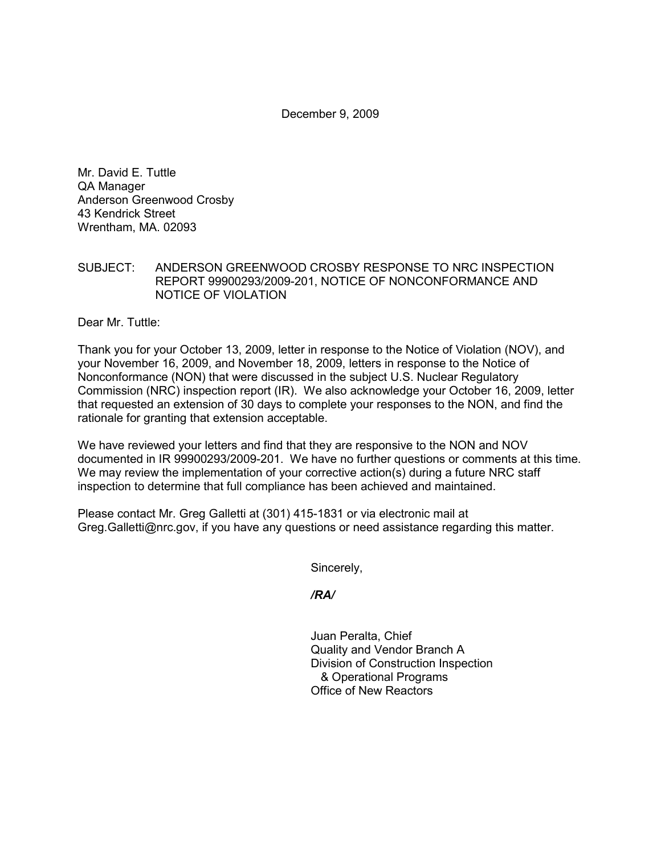December 9, 2009

Mr. David E. Tuttle QA Manager Anderson Greenwood Crosby 43 Kendrick Street Wrentham, MA. 02093

## SUBJECT: ANDERSON GREENWOOD CROSBY RESPONSE TO NRC INSPECTION REPORT 99900293/2009-201, NOTICE OF NONCONFORMANCE AND NOTICE OF VIOLATION

Dear Mr. Tuttle:

Thank you for your October 13, 2009, letter in response to the Notice of Violation (NOV), and your November 16, 2009, and November 18, 2009, letters in response to the Notice of Nonconformance (NON) that were discussed in the subject U.S. Nuclear Regulatory Commission (NRC) inspection report (IR). We also acknowledge your October 16, 2009, letter that requested an extension of 30 days to complete your responses to the NON, and find the rationale for granting that extension acceptable.

We have reviewed your letters and find that they are responsive to the NON and NOV documented in IR 99900293/2009-201. We have no further questions or comments at this time. We may review the implementation of your corrective action(s) during a future NRC staff inspection to determine that full compliance has been achieved and maintained.

Please contact Mr. Greg Galletti at (301) 415-1831 or via electronic mail at Greg.Galletti@nrc.gov, if you have any questions or need assistance regarding this matter.

Sincerely,

*/RA/* 

Juan Peralta, Chief Quality and Vendor Branch A Division of Construction Inspection & Operational Programs Office of New Reactors